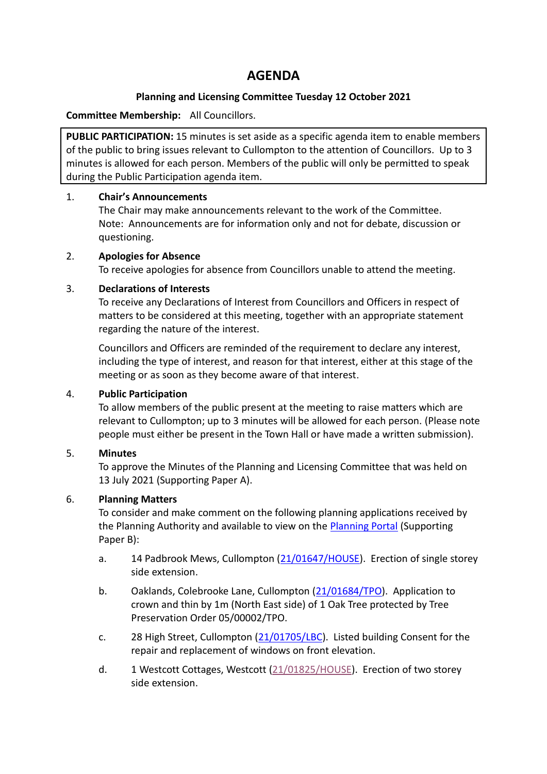# **AGENDA**

# **Planning and Licensing Committee Tuesday 12 October 2021**

# **Committee Membership:** All Councillors.

**PUBLIC PARTICIPATION:** 15 minutes is set aside as a specific agenda item to enable members of the public to bring issues relevant to Cullompton to the attention of Councillors. Up to 3 minutes is allowed for each person. Members of the public will only be permitted to speak during the Public Participation agenda item.

# 1. **Chair's Announcements**

The Chair may make announcements relevant to the work of the Committee. Note: Announcements are for information only and not for debate, discussion or questioning.

# 2. **Apologies for Absence**

To receive apologies for absence from Councillors unable to attend the meeting.

# 3. **Declarations of Interests**

To receive any Declarations of Interest from Councillors and Officers in respect of matters to be considered at this meeting, together with an appropriate statement regarding the nature of the interest.

Councillors and Officers are reminded of the requirement to declare any interest, including the type of interest, and reason for that interest, either at this stage of the meeting or as soon as they become aware of that interest.

# 4. **Public Participation**

To allow members of the public present at the meeting to raise matters which are relevant to Cullompton; up to 3 minutes will be allowed for each person. (Please note people must either be present in the Town Hall or have made a written submission).

# 5. **Minutes**

To approve the Minutes of the Planning and Licensing Committee that was held on 13 July 2021 (Supporting Paper A).

# 6. **Planning Matters**

To consider and make comment on the following planning applications received by the Planning Authority and available to view on the [Planning Portal](https://planning.middevon.gov.uk/online-applications/) (Supporting Paper B):

- a. 14 Padbrook Mews, Cullompton [\(21/01647/HOUSE\)](https://planning.middevon.gov.uk/online-applications/applicationDetails.do?activeTab=documents&keyVal=QY18GPKS0I100). Erection of single storey side extension.
- b. Oaklands, Colebrooke Lane, Cullompton [\(21/01684/TPO\)](https://planning.middevon.gov.uk/online-applications/applicationDetails.do?activeTab=documents&keyVal=QYCKQ0KS0I100). Application to crown and thin by 1m (North East side) of 1 Oak Tree protected by Tree Preservation Order 05/00002/TPO.
- c. 28 High Street, Cullompton [\(21/01705/LBC\)](https://planning.middevon.gov.uk/online-applications/applicationDetails.do?activeTab=documents&keyVal=QYGF0EKS04G00). Listed building Consent for the repair and replacement of windows on front elevation.
- d. 1 Westcott Cottages, Westcott [\(21/01825/HOUSE\)](https://planning.middevon.gov.uk/online-applications/applicationDetails.do?activeTab=documents&keyVal=QZS457KS05K00). Erection of two storey side extension.